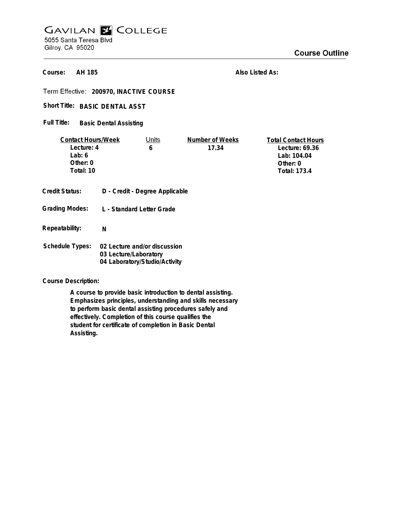# **GAVILAN Z COLLEGE** 5055 Santa Teresa Blvd Gilroy, CA 95020

**Course Outline** 

**AH 185 Course:**

**Also Listed As:**

**200970, INACTIVE COURSE**

Short Title: BASIC DENTAL ASST

**Basic Dental Assisting Full Title:**

| <b>Contact Hours/Week</b> |                                | Units                     | Number of Weeks | <b>Total Contact Hours</b> |  |
|---------------------------|--------------------------------|---------------------------|-----------------|----------------------------|--|
| Lecture: 4                |                                | 6                         | 17.34           | Lecture: 69.36             |  |
| Lab: $6$                  |                                |                           |                 | Lab: 104.04                |  |
| Other: 0                  |                                |                           |                 | Other: 0                   |  |
| Total: 10                 |                                |                           |                 | <b>Total: 173.4</b>        |  |
|                           |                                |                           |                 |                            |  |
| <b>Credit Status:</b>     | D - Credit - Degree Applicable |                           |                 |                            |  |
|                           |                                |                           |                 |                            |  |
| <b>Grading Modes:</b>     |                                | L - Standard Letter Grade |                 |                            |  |
|                           |                                |                           |                 |                            |  |
| Repeatability:            | N                              |                           |                 |                            |  |
|                           |                                |                           |                 |                            |  |
| <b>Schedule Types:</b>    | 02 Lecture and/or discussion   |                           |                 |                            |  |
|                           | 03 Lecture/Laboratory          |                           |                 |                            |  |
|                           | 04 Laboratory/Studio/Activity  |                           |                 |                            |  |

**Course Description:**

**A course to provide basic introduction to dental assisting. Emphasizes principles, understanding and skills necessary to perform basic dental assisting procedures safely and effectively. Completion of this course qualifies the student for certificate of completion in Basic Dental Assisting.**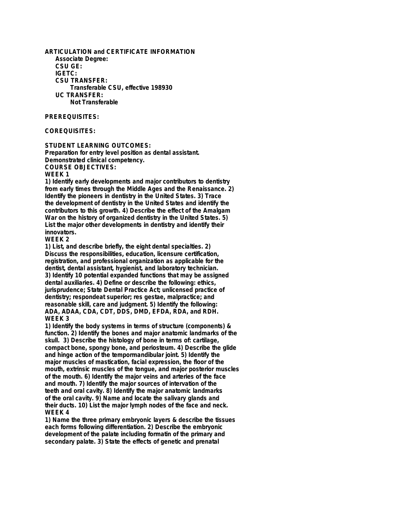**ARTICULATION and CERTIFICATE INFORMATION Associate Degree: CSU GE: IGETC: CSU TRANSFER: Transferable CSU, effective 198930 UC TRANSFER: Not Transferable**

## **PREREQUISITES:**

# **COREQUISITES:**

**STUDENT LEARNING OUTCOMES:**

**Preparation for entry level position as dental assistant. Demonstrated clinical competency. COURSE OBJECTIVES:**

#### **WEEK 1**

**1) Identify early developments and major contributors to dentistry from early times through the Middle Ages and the Renaissance. 2) Identify the pioneers in dentistry in the United States. 3) Trace the development of dentistry in the United States and identify the contributors to this growth. 4) Describe the effect of the Amalgam War on the history of organized dentistry in the United States. 5) List the major other developments in dentistry and identify their innovators.**

**WEEK 2**

**1) List, and describe briefly, the eight dental specialties. 2) Discuss the responsibilities, education, licensure certification, registration, and professional organization as applicable for the dentist, dental assistant, hygienist, and laboratory technician. 3) Identify 10 potential expanded functions that may be assigned dental auxiliaries. 4) Define or describe the following: ethics, jurisprudence; State Dental Practice Act; unlicensed practice of dentistry; respondeat superior; res gestae, malpractice; and reasonable skill, care and judgment. 5) Identify the following: ADA, ADAA, CDA, CDT, DDS, DMD, EFDA, RDA, and RDH. WEEK 3**

**1) Identify the body systems in terms of structure (components) & function. 2) Identify the bones and major anatomic landmarks of the skull. 3) Describe the histology of bone in terms of: cartilage, compact bone, spongy bone, and periosteum. 4) Describe the glide and hinge action of the tempormandibular joint. 5) Identify the major muscles of mastication, facial expression, the floor of the mouth, extrinsic muscles of the tongue, and major posterior muscles of the mouth. 6) Identify the major veins and arteries of the face and mouth. 7) Identify the major sources of intervation of the teeth and oral cavity. 8) Identify the major anatomic landmarks of the oral cavity. 9) Name and locate the salivary glands and their ducts. 10) List the major lymph nodes of the face and neck. WEEK 4**

**1) Name the three primary embryonic layers & describe the tissues each forms following differentiation. 2) Describe the embryonic development of the palate including formatin of the primary and secondary palate. 3) State the effects of genetic and prenatal**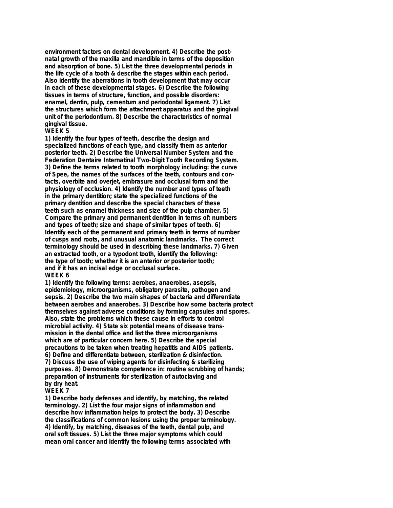**environment factors on dental development. 4) Describe the postnatal growth of the maxilla and mandible in terms of the deposition and absorption of bone. 5) List the three developmental periods in the life cycle of a tooth & describe the stages within each period. Also identify the aberrations in tooth development that may occur in each of these developmental stages. 6) Describe the following tissues in terms of structure, function, and possible disorders: enamel, dentin, pulp, cementum and periodontal ligament. 7) List the structures which form the attachment apparatus and the gingival unit of the periodontium. 8) Describe the characteristics of normal gingival tissue.**

### **WEEK 5**

**1) Identify the four types of teeth, describe the design and specialized functions of each type, and classify them as anterior posterior teeth. 2) Describe the Universal Number System and the Federation Dentaire Internatinal Two-Digit Tooth Recording System. 3) Define the terms related to tooth morphology including: the curve of Spee, the names of the surfaces of the teeth, contours and contacts, overbite and overjet, embrasure and occlusal form and the physiology of occlusion. 4) Identify the number and types of teeth in the primary dentition; state the specialized functions of the primary dentition and describe the special characters of these teeth such as enamel thickness and size of the pulp chamber. 5) Compare the primary and permanent dentition in terms of: numbers and types of teeth; size and shape of similar types of teeth. 6) Identify each of the permanent and primary teeth in terms of number of cusps and roots, and unusual anatomic landmarks. The correct terminology should be used in describing these landmarks. 7) Given an extracted tooth, or a typodont tooth, identify the following: the type of tooth; whether it is an anterior or posterior tooth; and if it has an incisal edge or occlusal surface. WEEK 6**

**1) Identify the following terms: aerobes, anaerobes, asepsis, epidemiology, microorganisms, obligatory parasite, pathogen and sepsis. 2) Describe the two main shapes of bacteria and differentiate between aerobes and anaerobes. 3) Describe how some bacteria protect themselves against adverse conditions by forming capsules and spores. Also, state the problems which these cause in efforts to control microbial activity. 4) State six potential means of disease transmission in the dental office and list the three microorganisms which are of particular concern here. 5) Describe the special precautions to be taken when treating hepatitis and AIDS patients. 6) Define and differentiate between, sterilization & disinfection. 7) Discuss the use of wiping agents for disinfecting & sterilizing purposes. 8) Demonstrate competence in: routine scrubbing of hands; preparation of instruments for sterilization of autoclaving and by dry heat.**

#### **WEEK 7**

**1) Describe body defenses and identify, by matching, the related terminology. 2) List the four major signs of inflammation and describe how inflammation helps to protect the body. 3) Describe the classifications of common lesions using the proper terminology. 4) Identify, by matching, diseases of the teeth, dental pulp, and oral soft tissues. 5) List the three major symptoms which could mean oral cancer and identify the following terms associated with**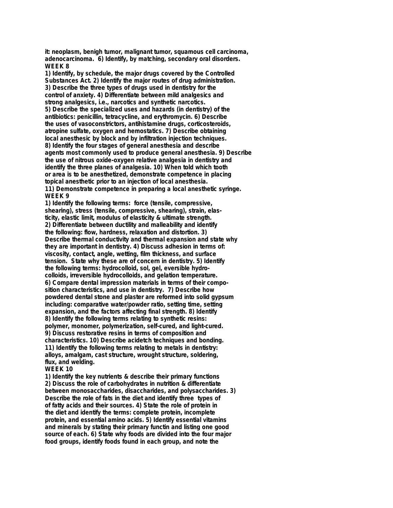**it: neoplasm, benigh tumor, malignant tumor, squamous cell carcinoma, adenocarcinoma. 6) Identify, by matching, secondary oral disorders. WEEK 8**

**1) Identify, by schedule, the major drugs covered by the Controlled Substances Act. 2) Identify the major routes of drug administration. 3) Describe the three types of drugs used in dentistry for the control of anxiety. 4) Differentiate between mild analgesics and strong analgesics, i.e., narcotics and synthetic narcotics. 5) Describe the specialized uses and hazards (in dentistry) of the antibiotics: penicillin, tetracycline, and erythromycin. 6) Describe the uses of vasoconstrictors, antihistamine drugs, corticosteroids, atropine sulfate, oxygen and hemostatics. 7) Describe obtaining local anesthesic by block and by infiltration injection techniques. 8) Identify the four stages of general anesthesia and describe agents most commonly used to produce general anesthesia. 9) Describe the use of nitrous oxide-oxygen relative analgesia in dentistry and identify the three planes of analgesia. 10) When told which tooth or area is to be anesthetized, demonstrate competence in placing topical anesthetic prior to an injection of local anesthesia. 11) Demonstrate competence in preparing a local anesthetic syringe. WEEK 9**

**1) Identify the following terms: force (tensile, compressive, shearing), stress (tensile, compressive, shearing), strain, elasticity, elastic limit, modulus of elasticity & ultimate strength. 2) Differentiate between ductility and malleability and identify the following: flow, hardness, relaxation and distortion. 3) Describe thermal conductivity and thermal expansion and state why they are important in dentistry. 4) Discuss adhesion in terms of: viscosity, contact, angle, wetting, film thickness, and surface tension. State why these are of concern in dentistry. 5) Identify the following terms: hydrocolloid, sol, gel, eversible hydrocolloids, irreversible hydrocolloids, and gelation temperature. 6) Compare dental impression materials in terms of their composition characteristics, and use in dentistry. 7) Describe how powdered dental stone and plaster are reformed into solid gypsum including: comparative water/powder ratio, setting time, setting expansion, and the factors affecting final strength. 8) Identify 8) Identify the following terms relating to synthetic resins: polymer, monomer, polymerization, self-cured, and light-cured. 9) Discuss restorative resins in terms of composition and characteristics. 10) Describe acidetch techniques and bonding. 11) Identify the following terms relating to metals in dentistry: alloys, amalgam, cast structure, wrought structure, soldering, flux, and welding.**

#### **WEEK 10**

**1) Identify the key nutrients & describe their primary functions 2) Discuss the role of carbohydrates in nutrition & differentiate between monosaccharides, disaccharides, and polysaccharides. 3) Describe the role of fats in the diet and identify three types of of fatty acids and their sources. 4) State the role of protein in the diet and identify the terms: complete protein, incomplete protein, and essential amino acids. 5) Identify essential vitamins and minerals by stating their primary functin and listing one good source of each. 6) State why foods are divided into the four major food groups, identify foods found in each group, and note the**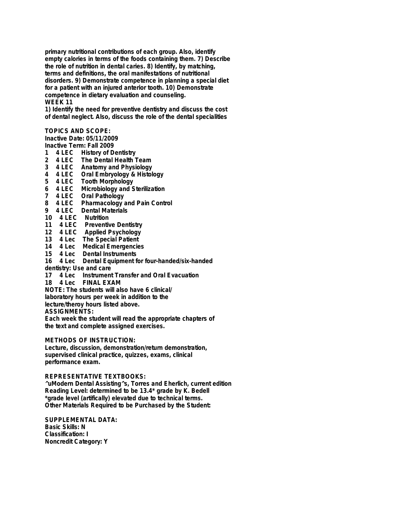**primary nutritional contributions of each group. Also, identify empty calories in terms of the foods containing them. 7) Describe the role of nutrition in dental caries. 8) Identify, by matching, terms and definitions, the oral manifestations of nutritional disorders. 9) Demonstrate competence in planning a special diet for a patient with an injured anterior tooth. 10) Demonstrate competence in dietary evaluation and counseling. WEEK 11**

**1) Identify the need for preventive dentistry and discuss the cost of dental neglect. Also, discuss the role of the dental specialities**

**TOPICS AND SCOPE:**

**Inactive Date: 05/11/2009**

- **Inactive Term: Fall 2009**
- **1 4 LEC History of Dentistry**
- **2 4 LEC The Dental Health Team**
- **3 4 LEC Anatomy and Physiology**
- **4 4 LEC Oral Embryology & Histology**
- **5 4 LEC Tooth Morphology**
- **6 4 LEC Microbiology and Sterilization**
- **7 4 LEC Oral Pathology**
- **8 4 LEC Pharmacology and Pain Control**
- **9 4 LEC Dental Materials**
- **10 4 LEC Nutrition**
- **11 4 LEC Preventive Dentistry**
- **12 4 LEC Applied Psychology**
- **13 4 Lec The Special Patient**
- **14 4 Lec Medical Emergencies**
- **15 4 Lec Dental Instruments**

**16 4 Lec Dental Equipment for four-handed/six-handed**

- **dentistry: Use and care**
- **17 4 Lec Instrument Transfer and Oral Evacuation**
- **18 4 Lec FINAL EXAM**

**NOTE: The students will also have 6 clinical/**

**laboratory hours per week in addition to the**

**lecture/theroy hours listed above.**

**ASSIGNMENTS:**

**Each week the student will read the appropriate chapters of the text and complete assigned exercises.**

**METHODS OF INSTRUCTION:**

**Lecture, discussion, demonstration/return demonstration, supervised clinical practice, quizzes, exams, clinical performance exam.**

**REPRESENTATIVE TEXTBOOKS:**

**^uModern Dental Assisting^s, Torres and Eherlich, current edition Reading Level: determined to be 13.4\* grade by K. Bedell \*grade level (artifically) elevated due to technical terms. Other Materials Required to be Purchased by the Student:**

**SUPPLEMENTAL DATA: Basic Skills: N Classification: I Noncredit Category: Y**